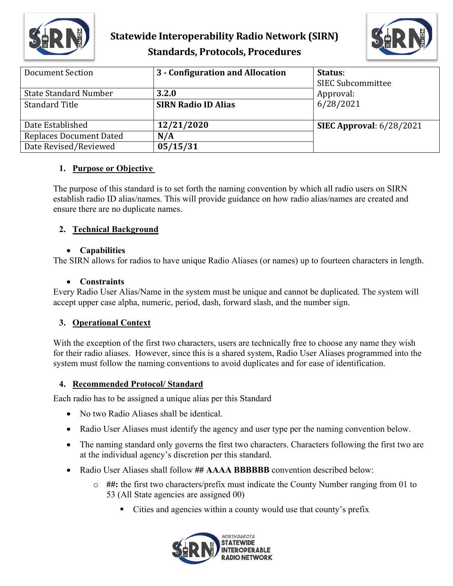

### **Statewide Interoperability Radio Network (SIRN) Standards, Protocols, Procedures**



| <b>Document Section</b>        | 3 - Configuration and Allocation | Status:<br><b>SIEC Subcommittee</b> |
|--------------------------------|----------------------------------|-------------------------------------|
| <b>State Standard Number</b>   | 3.2.0                            | Approval:                           |
| <b>Standard Title</b>          | <b>SIRN Radio ID Alias</b>       | 6/28/2021                           |
| Date Established               | 12/21/2020                       | <b>SIEC Approval:</b> 6/28/2021     |
| <b>Replaces Document Dated</b> | N/A                              |                                     |
| Date Revised/Reviewed          | 05/15/31                         |                                     |

### **1. Purpose or Objective**

The purpose of this standard is to set forth the naming convention by which all radio users on SIRN establish radio ID alias/names. This will provide guidance on how radio alias/names are created and ensure there are no duplicate names.

### **2. Technical Background**

### • **Capabilities**

The SIRN allows for radios to have unique Radio Aliases (or names) up to fourteen characters in length.

#### • **Constraints**

Every Radio User Alias/Name in the system must be unique and cannot be duplicated. The system will accept upper case alpha, numeric, period, dash, forward slash, and the number sign.

### **3. Operational Context**

With the exception of the first two characters, users are technically free to choose any name they wish for their radio aliases. However, since this is a shared system, Radio User Aliases programmed into the system must follow the naming conventions to avoid duplicates and for ease of identification.

### **4. Recommended Protocol/ Standard**

Each radio has to be assigned a unique alias per this Standard

- No two Radio Aliases shall be identical.
- Radio User Aliases must identify the agency and user type per the naming convention below.
- The naming standard only governs the first two characters. Characters following the first two are at the individual agency's discretion per this standard.
- Radio User Aliases shall follow **## AAAA BBBBBB** convention described below:
	- o **##:** the first two characters/prefix must indicate the County Number ranging from 01 to 53 (All State agencies are assigned 00)
		- Cities and agencies within a county would use that county's prefix

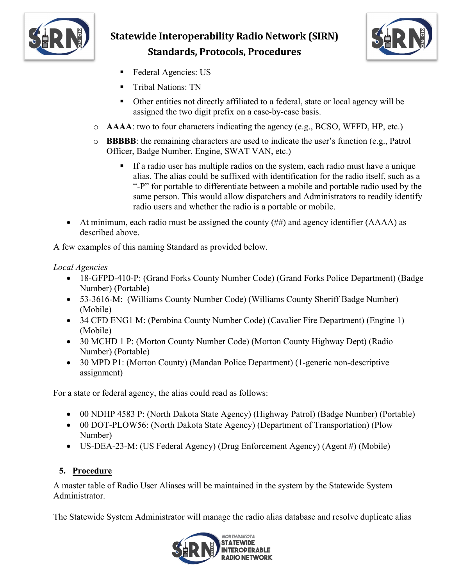

# **Statewide Interoperability Radio Network (SIRN) Standards, Protocols, Procedures**



- Federal Agencies: US
- Tribal Nations: TN
- Other entities not directly affiliated to a federal, state or local agency will be assigned the two digit prefix on a case-by-case basis.
- o **AAAA**: two to four characters indicating the agency (e.g., BCSO, WFFD, HP, etc.)
- o **BBBBB**: the remaining characters are used to indicate the user's function (e.g., Patrol Officer, Badge Number, Engine, SWAT VAN, etc.)
	- If a radio user has multiple radios on the system, each radio must have a unique alias. The alias could be suffixed with identification for the radio itself, such as a "-P" for portable to differentiate between a mobile and portable radio used by the same person. This would allow dispatchers and Administrators to readily identify radio users and whether the radio is a portable or mobile.
- At minimum, each radio must be assigned the county (##) and agency identifier (AAAA) as described above.

A few examples of this naming Standard as provided below.

### *Local Agencies*

- 18-GFPD-410-P: (Grand Forks County Number Code) (Grand Forks Police Department) (Badge Number) (Portable)
- 53-3616-M: (Williams County Number Code) (Williams County Sheriff Badge Number) (Mobile)
- 34 CFD ENG1 M: (Pembina County Number Code) (Cavalier Fire Department) (Engine 1) (Mobile)
- 30 MCHD 1 P: (Morton County Number Code) (Morton County Highway Dept) (Radio Number) (Portable)
- 30 MPD P1: (Morton County) (Mandan Police Department) (1-generic non-descriptive assignment)

For a state or federal agency, the alias could read as follows:

- 00 NDHP 4583 P: (North Dakota State Agency) (Highway Patrol) (Badge Number) (Portable)
- 00 DOT-PLOW56: (North Dakota State Agency) (Department of Transportation) (Plow Number)
- US-DEA-23-M: (US Federal Agency) (Drug Enforcement Agency) (Agent #) (Mobile)

### **5. Procedure**

A master table of Radio User Aliases will be maintained in the system by the Statewide System Administrator.

The Statewide System Administrator will manage the radio alias database and resolve duplicate alias